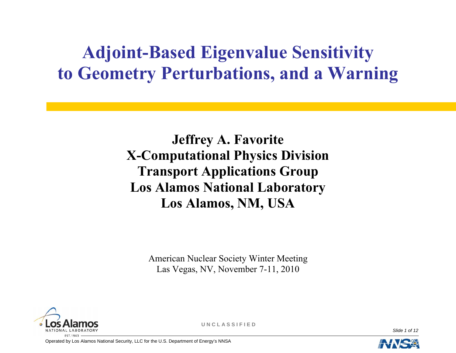# **Adjoint-Based Eigenvalue Sensitivity to Geometry Perturbations, and a Warning**

**Jeffrey A. Favorite X-Computational Physics Division Transport Applications Group Los Alamos National Laboratory Los Alamos, NM, USA** 

> American Nuclear Society Winter Meeting Las Vegas, NV, November 7-11, 2010



**U N C L A S S I F I E D**

*Slide 1 of 12* 

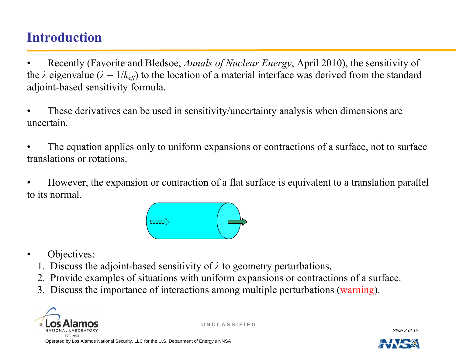#### **Introduction**

- Recently (Favorite and Bledsoe, *Annals of Nuclear Energy*, April 2010), the sensitivity of the  $\lambda$  eigenvalue ( $\lambda = 1/k_{\text{eff}}$ ) to the location of a material interface was derived from the standard adjoint-based sensitivity formula.
- These derivatives can be used in sensitivity/uncertainty analysis when dimensions are uncertain.
- The equation applies only to uniform expansions or contractions of a surface, not to surface translations or rotations.
- However, the expansion or contraction of a flat surface is equivalent to a translation parallel to its normal.



- Objectives:
	- 1. Discuss the adjoint-based sensitivity of *λ* to geometry perturbations.
	- 2. Provide examples of situations with uniform expansions or contractions of a surface.
	- 3. Discuss the importance of interactions among multiple perturbations (warning).



**U N C L A S S I F I E D**

*Slide 2 of 12* 

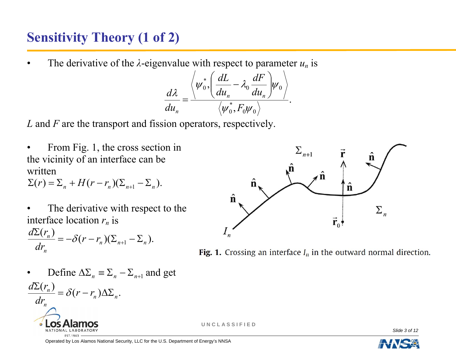## **Sensitivity Theory (1 of 2)**

The derivative of the  $\lambda$ -eigenvalue with respect to parameter  $u_n$  is

$$
\frac{d\lambda}{du_n} = \frac{\left\langle \psi_0^*, \left( \frac{dL}{du_n} - \lambda_0 \frac{dF}{du_n} \right) \psi_0 \right\rangle}{\left\langle \psi_0^*, F_0 \psi_0 \right\rangle}.
$$

*L* and *F* are the transport and fission operators, respectively.

From Fig. 1, the cross section in the vicinity of an interface can be written

 $\Sigma(r) = \Sigma_n + H(r - r_n)(\Sigma_{n+1} - \Sigma_n).$ 

The derivative with respect to the interface location  $r_n$  is

$$
\frac{d\Sigma(r_n)}{dr_n} = -\delta(r - r_n)(\Sigma_{n+1} - \Sigma_n).
$$

• Define 
$$
\Delta \Sigma_n = \Sigma_n - \Sigma_{n+1}
$$
 and get

 $\frac{(r_n)}{r} = \delta(r - r_n) \Delta \Sigma_n.$  $dr_{\rm n}$  $\frac{n}{r} = \delta(r - r)$  $d\Sigma(r)$  $\frac{\Sigma(r_n)}{\Sigma(r-r_n)} = \delta(r-r_n)\Delta\Sigma$ 





**U N C L A S S I F I E D**

*Slide 3 of 12* 

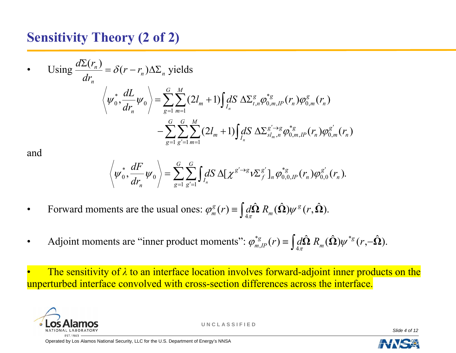#### **Sensitivity Theory (2 of 2)**

• Using 
$$
\frac{d\Sigma(r_n)}{dr_n} = \delta(r - r_n) \Delta \Sigma_n
$$
 yields  
\n
$$
\left\langle \psi_0^*, \frac{dL}{dr_n} \psi_0 \right\rangle = \sum_{g=1}^G \sum_{m=1}^M (2l_m + 1) \int dS \ \Delta \Sigma_{t,n}^g \phi_{0,m,IP}^{*g}(r_n) \phi_{0,m}^g(r_n) - \sum_{g=1}^G \sum_{g'=1}^G \sum_{m=1}^M (2l_m + 1) \int dS \ \Delta \Sigma_{s l_m,n}^{g'-s} \phi_{0,m,IP}^{*g}(r_n) \phi_{0,m}^{g'}(r_n)
$$

and

$$
\left\langle \psi_0^*, \frac{dF}{dr_n} \psi_0 \right\rangle = \sum_{g=1}^G \sum_{g'=1}^G \int_{I_n} dS \, \Delta[\chi^{g'\to g} \nu \Sigma_f^{g'}]_n \varphi_{0,0,IP}^{*g}(r_n) \varphi_{0,0}^{g'}(r_n).
$$

- Forward moments are the usual ones:  $\varphi_m^s(r) \equiv \int d\hat{\Omega} R_m(\hat{\Omega}) \psi^s(r, \hat{\Omega})$ .  $(\hat{\Omega}) \psi^{s}(r, \Omega)$  $\boldsymbol{\hat{\Omega}}$   $R_{_m}$  (  $\boldsymbol{\hat{\Omega}}$  $\varphi_m^g(r) \equiv \int d\hat{\Omega} R_m(\hat{\Omega}) \psi^g(r, \hat{\Omega})$
- Adjoint moments are "inner product moments":  $\varphi_{mIP}^{*g}(r) \equiv \int d\hat{\Omega} R_m(\hat{\Omega}) \psi^{*g}(r,-\hat{\Omega}).$  $(\hat{\Omega}) \psi^{*g} (r, - \Omega)$  $\boldsymbol{\hat{2}}$   $R_{_m}$  (  $\varphi_{m,IP}^{*g}(r) \equiv \int d\hat{\Omega} R_m(\hat{\Omega}) \psi^{*g}(r, -\hat{\Omega})$

• The sensitivity of *λ* to an interface location involves forward-adjoint inner products on the unperturbed interface convolved with cross-section differences across the interface.



**U N C L A S S I F I E D**

*Slide 4 of 12* 

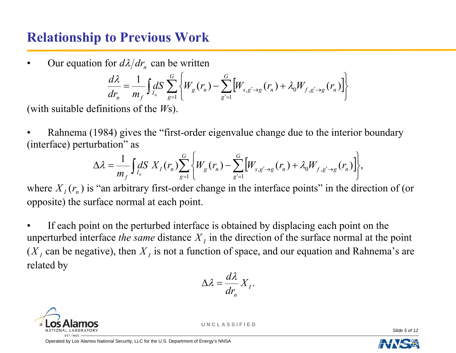#### **Relationship to Previous Work**

Our equation for  $d\lambda/dr$  can be written

$$
\frac{d\lambda}{dr_n} = \frac{1}{m_f} \int dS \sum_{g=1}^{G} \left\{ W_g(r_n) - \sum_{g'=1}^{G} \left[ W_{s,g'\to g}(r_n) + \lambda_0 W_{f,g'\to g}(r_n) \right] \right\}
$$

(with suitable definitions of the *W*s).

Rahnema (1984) gives the "first-order eigenvalue change due to the interior boundary (interface) perturbation" as

$$
\Delta \lambda = \frac{1}{m_f} \int_{I_n} dS \; X_I(r_n) \sum_{g=1}^G \left\{ W_g(r_n) - \sum_{g'=1}^G \left[W_{s,g'\to g}(r_n) + \lambda_0 W_{f,g'\to g}(r_n) \right] \right\},
$$

where  $X_I(r_n)$  is "an arbitrary first-order change in the interface points" in the direction of (or opposite) the surface normal at each point.

If each point on the perturbed interface is obtained by displacing each point on the unperturbed interface *the same* distance  $X<sub>I</sub>$  in the direction of the surface normal at the point  $(X<sub>I</sub>$  can be negative), then  $X<sub>I</sub>$  is not a function of space, and our equation and Rahnema's are related by

$$
\Delta \lambda = \frac{d\lambda}{dr_n} X_I.
$$



**U N C L A S S I F I E D**

*Slide 5 of 12* 

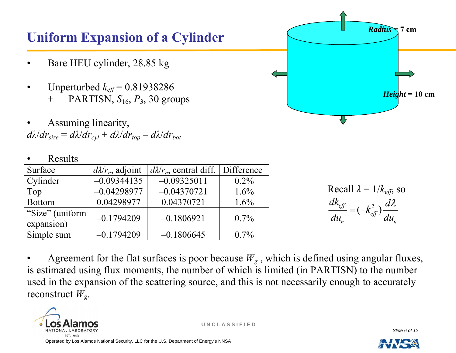#### **Uniform Expansion of a Cylinder**

- Bare HEU cylinder, 28.85 kg
- Unperturbed *keff* = 0.81938286 + PARTISN, *S*16, *P*3, 30 groups
- Assuming linearity,  $d\lambda/dr_{size} = d\lambda/dr_{cvl} + d\lambda/dr_{top} - d\lambda/dr_{bot}$

#### • Results

| Surface                       | $d\lambda/r_n$ , adjoint | $d\lambda/r_n$ , central diff.   Difference |         |
|-------------------------------|--------------------------|---------------------------------------------|---------|
| Cylinder                      | $-0.09344135$            | $-0.09325011$                               | $0.2\%$ |
| Top                           | $-0.04298977$            | $-0.04370721$                               | $1.6\%$ |
| <b>Bottom</b>                 | 0.04298977               | 0.04370721                                  | $1.6\%$ |
| "Size" (uniform<br>expansion) | $-0.1794209$             | $-0.1806921$                                | $0.7\%$ |
| Simple sum                    | $-0.1794209$             | $-0.1806645$                                | $0.7\%$ |



Agreement for the flat surfaces is poor because  $W_g$ , which is defined using angular fluxes, is estimated using flux moments, the number of which is limited (in PARTISN) to the number used in the expansion of the scattering source, and this is not necessarily enough to accurately reconstruct *Wg*.



**U N C L A S S I F I E D**

*Slide 6 of 12* 

 $Height = 10$  cm

 $Radius \rightarrow 7$  cm

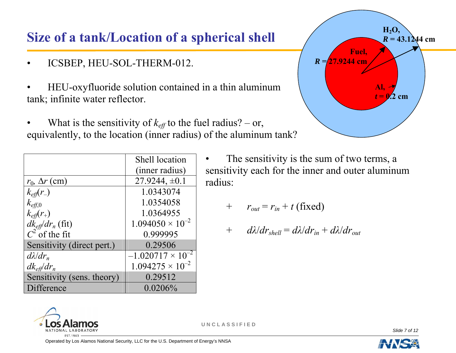## **Size of a tank/Location of a spherical shell**

- ICSBEP, HEU-SOL-THERM-012.
- HEU-oxyfluoride solution contained in a thin aluminum tank; infinite water reflector.
- What is the sensitivity of  $k_{\text{eff}}$  to the fuel radius? or, equivalently, to the location (inner radius) of the aluminum tank?

|                              | <b>Shell location</b>      |  |
|------------------------------|----------------------------|--|
|                              | (inner radius)             |  |
| $r_0$ , $\Delta r$ (cm)      | $27.9244, \pm 0.1$         |  |
| $k_{\text{eff}}(r_{-})$      | 1.0343074                  |  |
| $k_{\text{eff},0}$           | 1.0354058                  |  |
| $k_{\text{eff}}(r_{+})$      | 1.0364955                  |  |
| $dk_{\text{eff}}/dr_n$ (fit) | $1.094050 \times 10^{-2}$  |  |
| $C^2$ of the fit             | 0.999995                   |  |
| Sensitivity (direct pert.)   | 0.29506                    |  |
| $d\lambda/dr_n$              | $-1.020717 \times 10^{-2}$ |  |
| $dk_{\text{eff}}/dr_n$       | $1.094275 \times 10^{-2}$  |  |
| Sensitivity (sens. theory)   | 0.29512                    |  |
| Difference                   | $0.0206\%$                 |  |



$$
+ \qquad r_{out} = r_{in} + t \text{ (fixed)}
$$

$$
+ \quad d\lambda/dr_{shell} = d\lambda/dr_{in} + d\lambda/dr_{out}
$$



**U N C L A S S I F I E D**

*Slide 7 of 12* 

Operated by Los Alamos National Security, LLC for the U.S. Department of Energy's NNSA



**Fuel,**  $R = 27.9244$  cm **H2O,**   $R = 43.1244$  cm **Al,**  *t* **= 0.2 cm**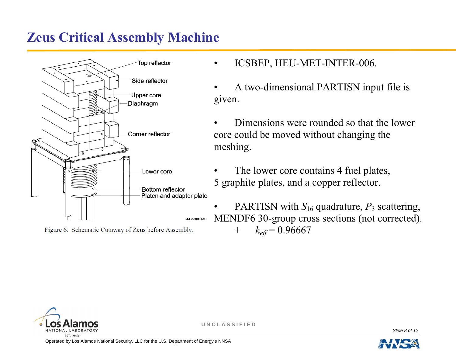#### **Zeus Critical Assembly Machine**



Figure 6. Schematic Cutaway of Zeus before Assembly.

- ICSBEP, HEU-MET-INTER-006.
- A two-dimensional PARTISN input file is given.
- Dimensions were rounded so that the lower core could be moved without changing the meshing.
- The lower core contains 4 fuel plates, 5 graphite plates, and a copper reflector.
- PARTISN with  $S_{16}$  quadrature,  $P_3$  scattering, MENDF6 30-group cross sections (not corrected). +  $k_{\text{eff}}$  = 0.96667



**U N C L A S S I F I E D**

*Slide 8 of 12* 

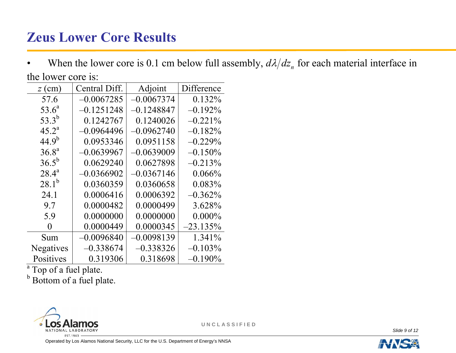# **Zeus Lower Core Results**

• When the lower core is 0.1 cm below full assembly,  $d\lambda/dz_n$  for each material interface in the lower core is:

| $z$ (cm)   | Central Diff. | Adjoint      | Difference |
|------------|---------------|--------------|------------|
| 57.6       | $-0.0067285$  | $-0.0067374$ | $0.132\%$  |
| $53.6^a$   | $-0.1251248$  | $-0.1248847$ | $-0.192%$  |
| $53.3^{b}$ | 0.1242767     | 0.1240026    | $-0.221\%$ |
| $45.2^a$   | $-0.0964496$  | 0.0962740    | $-0.182%$  |
| $44.9^{b}$ | 0.0953346     | 0.0951158    | $-0.229%$  |
| $36.8^{a}$ | $-0.0639967$  | 0.0639009    | $-0.150%$  |
| $36.5^b$   | 0.0629240     | 0.0627898    | $-0.213%$  |
| $28.4^{a}$ | $-0.0366902$  | 0.0367146    | 0.066%     |
| $28.1^{b}$ | 0.0360359     | 0.0360658    | $0.083\%$  |
| 24.1       | 0.0006416     | 0.0006392    | $-0.362\%$ |
| 9.7        | 0.0000482     | 0.0000499    | 3.628%     |
| 5.9        | 0.0000000     | 0.0000000    | $0.000\%$  |
| 0          | 0.0000449     | 0.0000345    | $-23.135%$ |
| Sum        | $-0.0096840$  | 0.0098139    | 1.341%     |
| Negatives  | $-0.338674$   | $-0.338326$  | $-0.103\%$ |
| Positives  | 0.319306      | 0.318698     | $-0.190\%$ |

<sup>a</sup> Top of a fuel plate.

**b** Bottom of a fuel plate.



**U N C L A S S I F I E D**

*Slide 9 of 12* 

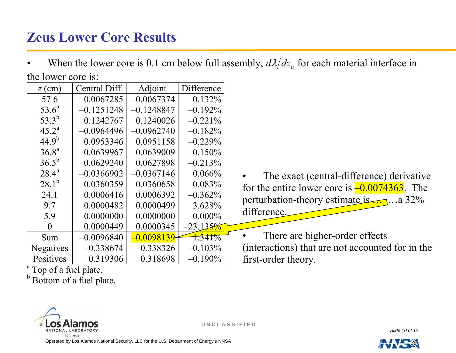# **Zeus Lower Core Results**

• When the lower core is 0.1 cm below full assembly,  $d\lambda/dz_n$  for each material interface in the lower core is:

| $z$ (cm)         | Central Diff. | Adjoint      | Difference |
|------------------|---------------|--------------|------------|
| 57.6             | $-0.0067285$  | $-0.0067374$ | $0.132\%$  |
| $53.6^a$         | $-0.1251248$  | $-0.1248847$ | $-0.192\%$ |
| $53.3^{b}$       | 0.1242767     | 0.1240026    | $-0.221\%$ |
| $45.2^{\rm a}$   | $-0.0964496$  | $-0.0962740$ | $-0.182%$  |
| $44.9^{b}$       | 0.0953346     | 0.0951158    | $-0.229%$  |
| $36.8^{a}$       | $-0.0639967$  | -0.0639009   | $-0.150%$  |
| $36.5^{b}$       | 0.0629240     | 0.0627898    | $-0.213%$  |
| $28.4^{a}$       | $-0.0366902$  | $-0.0367146$ | 0.066%     |
| $28.1^{b}$       | 0.0360359     | 0.0360658    | 0.083%     |
| 24.1             | 0.0006416     | 0.0006392    | $-0.362\%$ |
| 9.7              | 0.0000482     | 0.0000499    | 3.628%     |
| 5.9              | 0.0000000     | 0.0000000    | $0.000\%$  |
| 0                | 0.0000449     | 0.0000345    | $-23.135%$ |
| Sum              | $-0.0096840$  | 0.0098139    | 1.341%     |
| <b>Negatives</b> | $-0.338674$   | $-0.338326$  | $-0.103\%$ |
| Positives        | 0.319306      | 0.318698     | $-0.190\%$ |

The exact (central-difference) derivative for the entire lower core is  $\frac{-0.0074363}{\cdot}$ . The perturbation-theory estimate is … …a 32% difference.

There are higher-order effects (interactions) that are not accounted for in the first-order theory.

<sup>a</sup> Top of a fuel plate.

**b** Bottom of a fuel plate.



**U N C L A S S I F I E D**

*Slide 10 of 12* 

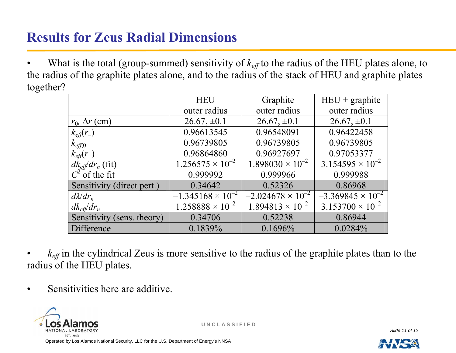# **Results for Zeus Radial Dimensions**

What is the total (group-summed) sensitivity of  $k_{\text{eff}}$  to the radius of the HEU plates alone, to the radius of the graphite plates alone, and to the radius of the stack of HEU and graphite plates together?

|                              | <b>HEU</b>                 | Graphite                   | $HEU + graphite$           |
|------------------------------|----------------------------|----------------------------|----------------------------|
|                              | outer radius               | outer radius               | outer radius               |
| $r_0$ , $\Delta r$ (cm)      | $26.67, \pm 0.1$           | $26.67, \pm 0.1$           | $26.67, \pm 0.1$           |
| $k_{\text{eff}}(r_{-})$      | 0.96613545                 | 0.96548091                 | 0.96422458                 |
| $k_{\text{eff},0}$           | 0.96739805                 | 0.96739805                 | 0.96739805                 |
| $k_{\text{eff}}(r_{+})$      | 0.96864860                 | 0.96927697                 | 0.97053377                 |
| $dk_{\text{eff}}/dr_n$ (fit) | $1.256575 \times 10^{-2}$  | $1.898030 \times 10^{-2}$  | $3.154595 \times 10^{-2}$  |
| $C^2$ of the fit             | 0.999992                   | 0.999966                   | 0.999988                   |
| Sensitivity (direct pert.)   | 0.34642                    | 0.52326                    | 0.86968                    |
| $d\lambda/dr_n$              | $-1.345168 \times 10^{-2}$ | $-2.024678 \times 10^{-2}$ | $-3.369845 \times 10^{-2}$ |
| $dk_{\text{eff}}/dr_n$       | $1.258888 \times 10^{-2}$  | $1.894813 \times 10^{-2}$  | $3.153700 \times 10^{-2}$  |
| Sensitivity (sens. theory)   | 0.34706                    | 0.52238                    | 0.86944                    |
| Difference                   | 0.1839%                    | 0.1696%                    | 0.0284%                    |

 $k_{\text{eff}}$  in the cylindrical Zeus is more sensitive to the radius of the graphite plates than to the radius of the HEU plates.

• Sensitivities here are additive.



**U N C L A S S I F I E D**

*Slide 11 of 12*